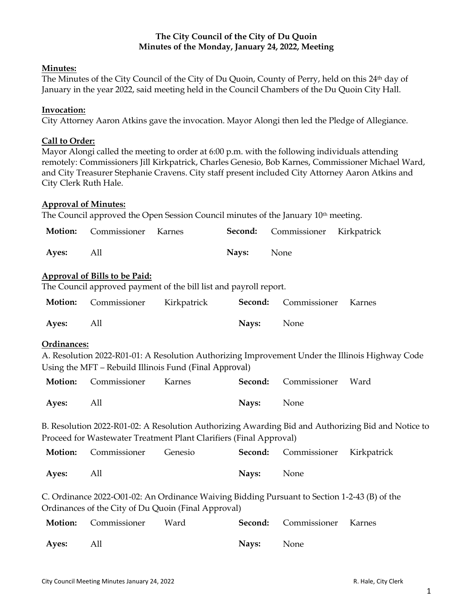# **The City Council of the City of Du Quoin Minutes of the Monday, January 24, 2022, Meeting**

# **Minutes:**

The Minutes of the City Council of the City of Du Quoin, County of Perry, held on this 24th day of January in the year 2022, said meeting held in the Council Chambers of the Du Quoin City Hall.

# **Invocation:**

City Attorney Aaron Atkins gave the invocation. Mayor Alongi then led the Pledge of Allegiance.

# **Call to Order:**

Mayor Alongi called the meeting to order at 6:00 p.m. with the following individuals attending remotely: Commissioners Jill Kirkpatrick, Charles Genesio, Bob Karnes, Commissioner Michael Ward, and City Treasurer Stephanie Cravens. City staff present included City Attorney Aaron Atkins and City Clerk Ruth Hale.

# **Approval of Minutes:**

The Council approved the Open Session Council minutes of the January  $10<sup>th</sup>$  meeting.

|           | <b>Motion:</b> Commissioner Karnes |            | <b>Second:</b> Commissioner Kirkpatrick |  |
|-----------|------------------------------------|------------|-----------------------------------------|--|
| Ayes: All |                                    | Navs: None |                                         |  |

# **Approval of Bills to be Paid:**

The Council approved payment of the bill list and payroll report.

|              | <b>Motion:</b> Commissioner Kirkpatrick <b>Second:</b> Commissioner Karnes |            |  |
|--------------|----------------------------------------------------------------------------|------------|--|
| <b>Ayes:</b> | All                                                                        | Navs: None |  |

### **Ordinances:**

A. Resolution 2022-R01-01: A Resolution Authorizing Improvement Under the Illinois Highway Code Using the MFT – Rebuild Illinois Fund (Final Approval)

|           | <b>Motion:</b> Commissioner Karnes |                   | Second: Commissioner Ward |  |
|-----------|------------------------------------|-------------------|---------------------------|--|
| Ayes: All |                                    | <b>Navs:</b> None |                           |  |

B. Resolution 2022-R01-02: A Resolution Authorizing Awarding Bid and Authorizing Bid and Notice to Proceed for Wastewater Treatment Plant Clarifiers (Final Approval)

|           | <b>Motion:</b> Commissioner Genesio |                   | <b>Second:</b> Commissioner Kirkpatrick |  |
|-----------|-------------------------------------|-------------------|-----------------------------------------|--|
| Ayes: All |                                     | <b>Nays:</b> None |                                         |  |

C. Ordinance 2022-O01-02: An Ordinance Waiving Bidding Pursuant to Section 1-2-43 (B) of the Ordinances of the City of Du Quoin (Final Approval)

|           | <b>Motion:</b> Commissioner Ward |                   | <b>Second:</b> Commissioner Karnes |  |
|-----------|----------------------------------|-------------------|------------------------------------|--|
| Ayes: All |                                  | <b>Navs:</b> None |                                    |  |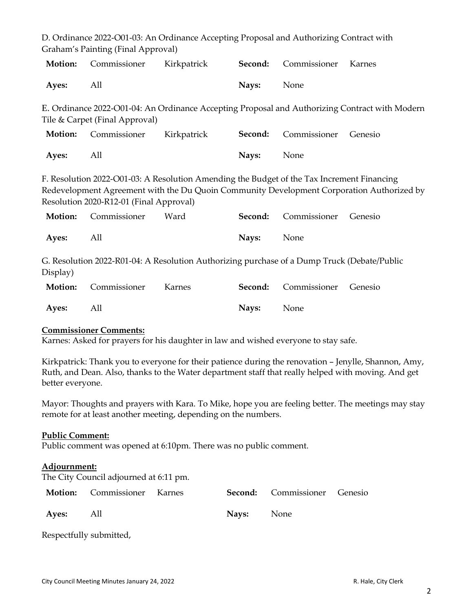|                                                                                                                                                                                                                                    | Graham's Painting (Final Approval) |             |         |              |                                                                                                |  |
|------------------------------------------------------------------------------------------------------------------------------------------------------------------------------------------------------------------------------------|------------------------------------|-------------|---------|--------------|------------------------------------------------------------------------------------------------|--|
| <b>Motion:</b>                                                                                                                                                                                                                     | Commissioner                       | Kirkpatrick | Second: | Commissioner | Karnes                                                                                         |  |
| Ayes:                                                                                                                                                                                                                              | All                                |             | Nays:   | None         |                                                                                                |  |
|                                                                                                                                                                                                                                    | Tile & Carpet (Final Approval)     |             |         |              | E. Ordinance 2022-O01-04: An Ordinance Accepting Proposal and Authorizing Contract with Modern |  |
| <b>Motion:</b>                                                                                                                                                                                                                     | Commissioner                       | Kirkpatrick | Second: | Commissioner | Genesio                                                                                        |  |
| Ayes:                                                                                                                                                                                                                              | All                                |             | Nays:   | None         |                                                                                                |  |
| F. Resolution 2022-O01-03: A Resolution Amending the Budget of the Tax Increment Financing<br>Redevelopment Agreement with the Du Quoin Community Development Corporation Authorized by<br>Resolution 2020-R12-01 (Final Approval) |                                    |             |         |              |                                                                                                |  |
| <b>Motion:</b>                                                                                                                                                                                                                     | Commissioner                       | Ward        | Second: | Commissioner | Genesio                                                                                        |  |
| Ayes:                                                                                                                                                                                                                              | All                                |             | Nays:   | None         |                                                                                                |  |
| G. Resolution 2022-R01-04: A Resolution Authorizing purchase of a Dump Truck (Debate/Public<br>Display)                                                                                                                            |                                    |             |         |              |                                                                                                |  |
| <b>Motion:</b>                                                                                                                                                                                                                     | Commissioner                       | Karnes      | Second: | Commissioner | Genesio                                                                                        |  |
| Ayes:                                                                                                                                                                                                                              | All                                |             | Nays:   | None         |                                                                                                |  |

D. Ordinance 2022-O01-03: An Ordinance Accepting Proposal and Authorizing Contract with

### **Commissioner Comments:**

Karnes: Asked for prayers for his daughter in law and wished everyone to stay safe.

Kirkpatrick: Thank you to everyone for their patience during the renovation – Jenylle, Shannon, Amy, Ruth, and Dean. Also, thanks to the Water department staff that really helped with moving. And get better everyone.

Mayor: Thoughts and prayers with Kara. To Mike, hope you are feeling better. The meetings may stay remote for at least another meeting, depending on the numbers.

#### **Public Comment:**

Public comment was opened at 6:10pm. There was no public comment.

#### **Adjournment:**

The City Council adjourned at 6:11 pm.

|           | <b>Motion:</b> Commissioner Karnes |                   | <b>Second:</b> Commissioner Genesio |  |
|-----------|------------------------------------|-------------------|-------------------------------------|--|
| Ayes: All |                                    | <b>Navs:</b> None |                                     |  |

Respectfully submitted,